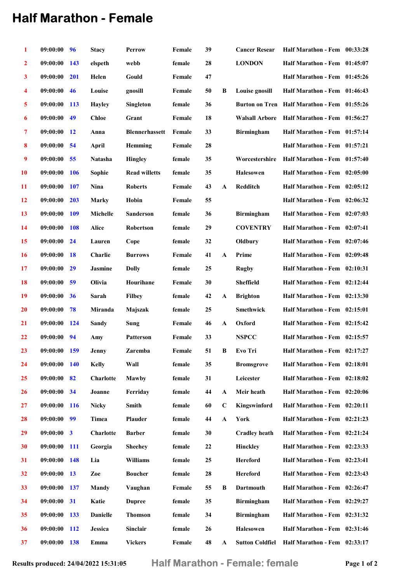## Half Marathon - Female

| 1                       | 09:00:00 | 96              | <b>Stacy</b>     | <b>Perrow</b>         | Female         | 39 |              | <b>Cancer Resear</b>   | Half Marathon - Fem 00:33:28                |  |
|-------------------------|----------|-----------------|------------------|-----------------------|----------------|----|--------------|------------------------|---------------------------------------------|--|
| $\mathbf{2}$            | 09:00:00 | 143             | elspeth          | webb                  | female         | 28 |              | <b>LONDON</b>          | Half Marathon - Fem 01:45:07                |  |
| 3                       | 09:00:00 | 201             | Helen            | Gould                 | Female         | 47 |              |                        | Half Marathon - Fem 01:45:26                |  |
| 4                       | 09:00:00 | 46              | Louise           | gnosill               | Female         | 50 | B            | Louise gnosill         | Half Marathon - Fem 01:46:43                |  |
| $\overline{\mathbf{5}}$ | 09:00:00 | <b>113</b>      | <b>Hayley</b>    | <b>Singleton</b>      | female         | 36 |              |                        | Burton on Tren Half Marathon - Fem 01:55:26 |  |
| 6                       | 09:00:00 | 49              | <b>Chloe</b>     | Grant                 | Female         | 18 |              | <b>Walsall Arbore</b>  | Half Marathon - Fem 01:56:27                |  |
| $\overline{\tau}$       | 09:00:00 | $\overline{12}$ | Anna             | <b>Blennerhassett</b> | Female         | 33 |              | <b>Birmingham</b>      | Half Marathon - Fem 01:57:14                |  |
| 8                       | 09:00:00 | 54              | April            | Hemming               | Female         | 28 |              |                        | Half Marathon - Fem 01:57:21                |  |
| 9                       | 09:00:00 | 55              | <b>Natasha</b>   | <b>Hingley</b>        | female         | 35 |              | Worcestershire         | Half Marathon - Fem 01:57:40                |  |
| 10                      | 09:00:00 | <b>106</b>      | Sophie           | <b>Read willetts</b>  | female         | 35 |              | <b>Halesowen</b>       | Half Marathon - Fem 02:05:00                |  |
| 11                      | 09:00:00 | 107             | Nina             | <b>Roberts</b>        | Female         | 43 | A            | Redditch               | Half Marathon - Fem 02:05:12                |  |
| 12                      | 09:00:00 | 203             | Marky            | Hobin                 | Female         | 55 |              |                        | Half Marathon - Fem 02:06:32                |  |
| 13                      | 09:00:00 | <b>109</b>      | Michelle         | <b>Sanderson</b>      | female         | 36 |              | <b>Birmingham</b>      | Half Marathon - Fem 02:07:03                |  |
| 14                      | 09:00:00 | 108             | <b>Alice</b>     | Robertson             | female         | 29 |              | <b>COVENTRY</b>        | Half Marathon - Fem 02:07:41                |  |
| 15                      | 09:00:00 | 24              | Lauren           | Cope                  | female         | 32 |              | Oldbury                | Half Marathon - Fem 02:07:46                |  |
| 16                      | 09:00:00 | <b>18</b>       | Charlie          | <b>Burrows</b>        | Female         | 41 | $\mathbf{A}$ | Prime                  | Half Marathon - Fem 02:09:48                |  |
| 17                      | 09:00:00 | 29              | Jasmine          | <b>Dolly</b>          | female         | 25 |              | Rugby                  | Half Marathon - Fem 02:10:31                |  |
| 18                      | 09:00:00 | 59              | Olivia           | Hourihane             | Female         | 30 |              | <b>Sheffield</b>       | Half Marathon - Fem 02:12:44                |  |
| 19                      | 09:00:00 | 36              | Sarah            | <b>Filbey</b>         | ${\bf female}$ | 42 | A            | <b>Brighton</b>        | Half Marathon - Fem 02:13:30                |  |
| <b>20</b>               | 09:00:00 | 78              | Miranda          | Majszak               | female         | 25 |              | <b>Smethwick</b>       | Half Marathon - Fem 02:15:01                |  |
| 21                      | 09:00:00 | <b>124</b>      | Sandy            | Sung                  | Female         | 46 | A            | Oxford                 | Half Marathon - Fem 02:15:42                |  |
| 22                      | 09:00:00 | 94              | Amy              | <b>Patterson</b>      | Female         | 33 |              | <b>NSPCC</b>           | Half Marathon - Fem 02:15:57                |  |
| 23                      | 09:00:00 | <b>159</b>      | Jenny            | Zaremba               | Female         | 51 | B            | Evo Tri                | Half Marathon - Fem 02:17:27                |  |
| 24                      | 09:00:00 | <b>140</b>      | <b>Kelly</b>     | Wall                  | female         | 35 |              | <b>Bromsgrove</b>      | Half Marathon - Fem 02:18:01                |  |
| 25                      | 09:00:00 | 82              | <b>Charlotte</b> | Mawby                 | female         | 31 |              | Leicester              | Half Marathon - Fem 02:18:02                |  |
| 26                      | 09:00:00 | 34              | Joanne           | Ferriday              | female         | 44 | A            | Meir heath             | Half Marathon - Fem 02:20:06                |  |
| 27                      | 09:00:00 | <b>116</b>      | <b>Nicky</b>     | <b>Smith</b>          | female         | 60 | $\bf C$      | Kingswinford           | Half Marathon - Fem 02:20:11                |  |
| 28                      | 09:00:00 | 99              | Timea            | Plauder               | female         | 44 | $\mathbf A$  | York                   | Half Marathon - Fem 02:21:23                |  |
| 29                      | 09:00:00 | $\mathbf{3}$    | Charlotte        | <b>Barber</b>         | female         | 30 |              | <b>Cradley heath</b>   | Half Marathon - Fem 02:21:24                |  |
| 30                      | 09:00:00 | <b>111</b>      | Georgia          | <b>Sheehey</b>        | female         | 22 |              | Hinckley               | Half Marathon - Fem 02:23:33                |  |
| 31                      | 09:00:00 | <b>148</b>      | Lia              | <b>Williams</b>       | female         | 25 |              | Hereford               | Half Marathon - Fem 02:23:41                |  |
| 32                      | 09:00:00 | <b>13</b>       | Zoe              | <b>Boucher</b>        | female         | 28 |              | <b>Hereford</b>        | Half Marathon - Fem 02:23:43                |  |
| 33                      | 09:00:00 | 137             | Mandy            | Vaughan               | Female         | 55 | B            | <b>Dartmouth</b>       | Half Marathon - Fem 02:26:47                |  |
| 34                      | 09:00:00 | 31              | Katie            | <b>Dupree</b>         | female         | 35 |              | <b>Birmingham</b>      | Half Marathon - Fem 02:29:27                |  |
| 35                      | 09:00:00 | 133             | <b>Danielle</b>  | <b>Thomson</b>        | female         | 34 |              | <b>Birmingham</b>      | Half Marathon - Fem 02:31:32                |  |
| 36                      | 09:00:00 | <b>112</b>      | Jessica          | Sinclair              | female         | 26 |              | Halesowen              | Half Marathon - Fem 02:31:46                |  |
| 37                      | 09:00:00 | 138             | Emma             | <b>Vickers</b>        | Female         | 48 | A            | <b>Sutton Coldfiel</b> | Half Marathon - Fem 02:33:17                |  |